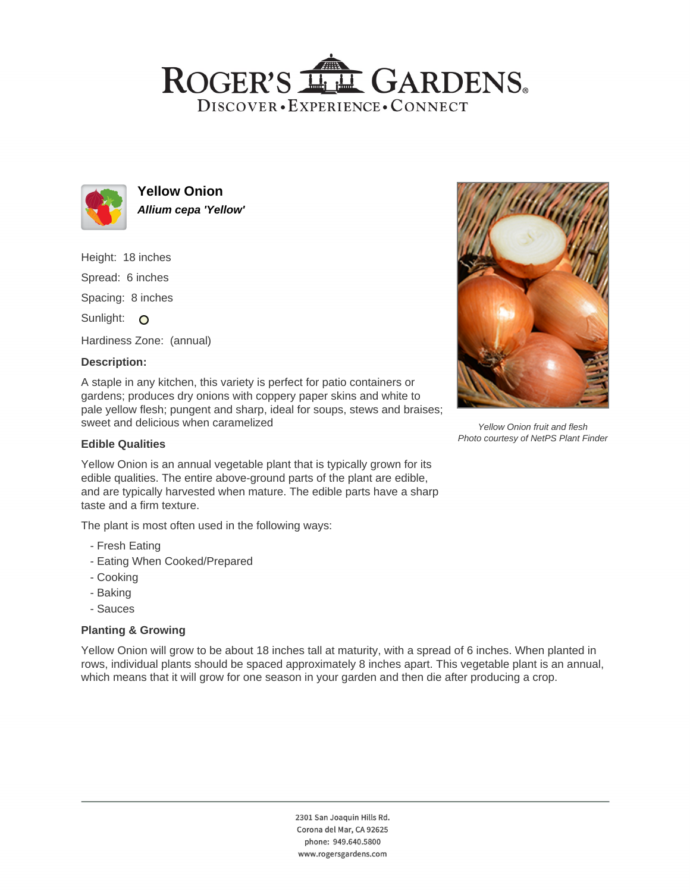## ROGER'S LL GARDENS. DISCOVER · EXPERIENCE · CONNECT



**Yellow Onion Allium cepa 'Yellow'**

Height: 18 inches Spread: 6 inches

Spacing: 8 inches

Sunlight: O

Hardiness Zone: (annual)

### **Description:**

A staple in any kitchen, this variety is perfect for patio containers or gardens; produces dry onions with coppery paper skins and white to pale yellow flesh; pungent and sharp, ideal for soups, stews and braises; sweet and delicious when caramelized

#### **Edible Qualities**

Yellow Onion is an annual vegetable plant that is typically grown for its edible qualities. The entire above-ground parts of the plant are edible, and are typically harvested when mature. The edible parts have a sharp taste and a firm texture.

The plant is most often used in the following ways:

- Fresh Eating
- Eating When Cooked/Prepared
- Cooking
- Baking
- Sauces

#### **Planting & Growing**

Yellow Onion will grow to be about 18 inches tall at maturity, with a spread of 6 inches. When planted in rows, individual plants should be spaced approximately 8 inches apart. This vegetable plant is an annual, which means that it will grow for one season in your garden and then die after producing a crop.



Yellow Onion fruit and flesh Photo courtesy of NetPS Plant Finder

2301 San Joaquin Hills Rd. Corona del Mar, CA 92625 phone: 949.640.5800 www.rogersgardens.com